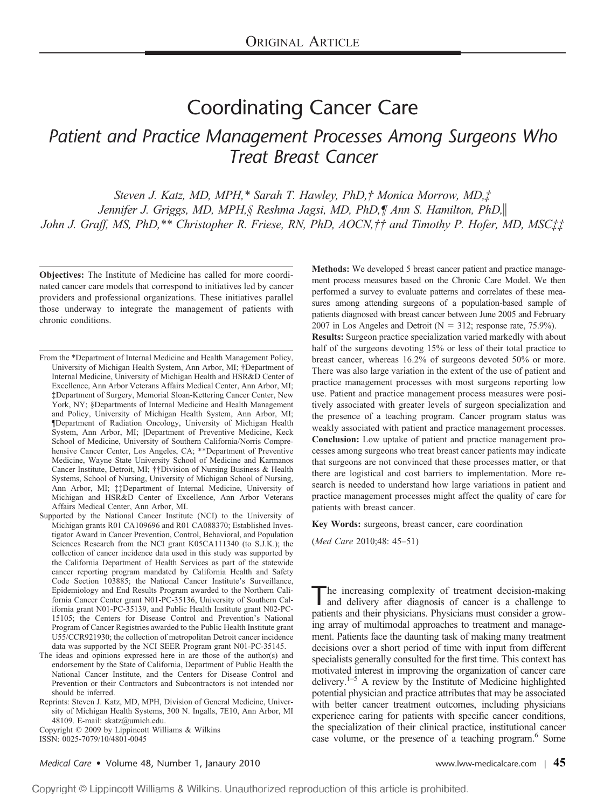# Coordinating Cancer Care *Patient and Practice Management Processes Among Surgeons Who Treat Breast Cancer*

*Steven J. Katz, MD, MPH,\* Sarah T. Hawley, PhD,† Monica Morrow, MD,‡ Jennifer J. Griggs, MD, MPH,§ Reshma Jagsi, MD, PhD,¶ Ann S. Hamilton, PhD, John J. Graff, MS, PhD,\*\* Christopher R. Friese, RN, PhD, AOCN,†† and Timothy P. Hofer, MD, MSC‡‡*

**Objectives:** The Institute of Medicine has called for more coordinated cancer care models that correspond to initiatives led by cancer providers and professional organizations. These initiatives parallel those underway to integrate the management of patients with chronic conditions.

- From the \*Department of Internal Medicine and Health Management Policy, University of Michigan Health System, Ann Arbor, MI; †Department of Internal Medicine, University of Michigan Health and HSR&D Center of Excellence, Ann Arbor Veterans Affairs Medical Center, Ann Arbor, MI; ‡Department of Surgery, Memorial Sloan-Kettering Cancer Center, New York, NY; §Departments of Internal Medicine and Health Management and Policy, University of Michigan Health System, Ann Arbor, MI; ¶Department of Radiation Oncology, University of Michigan Health System, Ann Arbor, MI; Department of Preventive Medicine, Keck School of Medicine, University of Southern California/Norris Comprehensive Cancer Center, Los Angeles, CA; \*\*Department of Preventive Medicine, Wayne State University School of Medicine and Karmanos Cancer Institute, Detroit, MI; ††Division of Nursing Business & Health Systems, School of Nursing, University of Michigan School of Nursing, Ann Arbor, MI; ‡‡Department of Internal Medicine, University of Michigan and HSR&D Center of Excellence, Ann Arbor Veterans Affairs Medical Center, Ann Arbor, MI.
- Supported by the National Cancer Institute (NCI) to the University of Michigan grants R01 CA109696 and R01 CA088370; Established Investigator Award in Cancer Prevention, Control, Behavioral, and Population Sciences Research from the NCI grant K05CA111340 (to S.J.K.); the collection of cancer incidence data used in this study was supported by the California Department of Health Services as part of the statewide cancer reporting program mandated by California Health and Safety Code Section 103885; the National Cancer Institute's Surveillance, Epidemiology and End Results Program awarded to the Northern California Cancer Center grant N01-PC-35136, University of Southern California grant N01-PC-35139, and Public Health Institute grant N02-PC-15105; the Centers for Disease Control and Prevention's National Program of Cancer Registries awarded to the Public Health Institute grant U55/CCR921930; the collection of metropolitan Detroit cancer incidence data was supported by the NCI SEER Program grant N01-PC-35145.
- The ideas and opinions expressed here in are those of the author(s) and endorsement by the State of California, Department of Public Health the National Cancer Institute, and the Centers for Disease Control and Prevention or their Contractors and Subcontractors is not intended nor should be inferred.
- Reprints: Steven J. Katz, MD, MPH, Division of General Medicine, University of Michigan Health Systems, 300 N. Ingalls, 7E10, Ann Arbor, MI 48109. E-mail: skatz@umich.edu.

Copyright © 2009 by Lippincott Williams & Wilkins ISSN: 0025-7079/10/4801-0045

**Methods:** We developed 5 breast cancer patient and practice management process measures based on the Chronic Care Model. We then performed a survey to evaluate patterns and correlates of these measures among attending surgeons of a population-based sample of patients diagnosed with breast cancer between June 2005 and February 2007 in Los Angeles and Detroit ( $N = 312$ ; response rate, 75.9%).

**Results:** Surgeon practice specialization varied markedly with about half of the surgeons devoting 15% or less of their total practice to breast cancer, whereas 16.2% of surgeons devoted 50% or more. There was also large variation in the extent of the use of patient and practice management processes with most surgeons reporting low use. Patient and practice management process measures were positively associated with greater levels of surgeon specialization and the presence of a teaching program. Cancer program status was weakly associated with patient and practice management processes. **Conclusion:** Low uptake of patient and practice management processes among surgeons who treat breast cancer patients may indicate that surgeons are not convinced that these processes matter, or that there are logistical and cost barriers to implementation. More research is needed to understand how large variations in patient and practice management processes might affect the quality of care for patients with breast cancer.

**Key Words:** surgeons, breast cancer, care coordination

(*Med Care* 2010;48: 45–51)

The increasing complexity of treatment decision-making and delivery after diagnosis of cancer is a challenge to patients and their physicians. Physicians must consider a growing array of multimodal approaches to treatment and management. Patients face the daunting task of making many treatment decisions over a short period of time with input from different specialists generally consulted for the first time. This context has motivated interest in improving the organization of cancer care delivery.1–5 A review by the Institute of Medicine highlighted potential physician and practice attributes that may be associated with better cancer treatment outcomes, including physicians experience caring for patients with specific cancer conditions, the specialization of their clinical practice, institutional cancer case volume, or the presence of a teaching program.<sup>6</sup> Some

### *Medical Care* • Volume 48, Number 1, Janaury 2010 [www.lww-medicalcare.com](http://www.lww-medicalcare.com) <sup>|</sup> **45**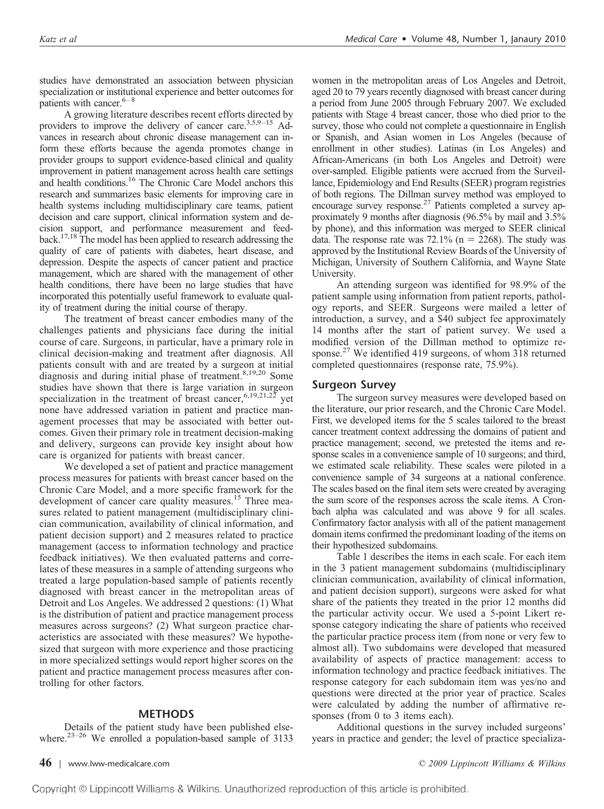studies have demonstrated an association between physician specialization or institutional experience and better outcomes for patients with cancer. $6-8$ 

A growing literature describes recent efforts directed by providers to improve the delivery of cancer care.<sup>3,5,9–15</sup> Advances in research about chronic disease management can inform these efforts because the agenda promotes change in provider groups to support evidence-based clinical and quality improvement in patient management across health care settings and health conditions.16 The Chronic Care Model anchors this research and summarizes basic elements for improving care in health systems including multidisciplinary care teams, patient decision and care support, clinical information system and decision support, and performance measurement and feedback.17,18 The model has been applied to research addressing the quality of care of patients with diabetes, heart disease, and depression. Despite the aspects of cancer patient and practice management, which are shared with the management of other health conditions, there have been no large studies that have incorporated this potentially useful framework to evaluate quality of treatment during the initial course of therapy.

The treatment of breast cancer embodies many of the challenges patients and physicians face during the initial course of care. Surgeons, in particular, have a primary role in clinical decision-making and treatment after diagnosis. All patients consult with and are treated by a surgeon at initial diagnosis and during initial phase of treatment.<sup>8,19,20</sup> Some studies have shown that there is large variation in surgeon specialization in the treatment of breast cancer,  $6,19,21,22$  yet none have addressed variation in patient and practice management processes that may be associated with better outcomes. Given their primary role in treatment decision-making and delivery, surgeons can provide key insight about how care is organized for patients with breast cancer.

We developed a set of patient and practice management process measures for patients with breast cancer based on the Chronic Care Model, and a more specific framework for the development of cancer care quality measures.<sup>15</sup> Three measures related to patient management (multidisciplinary clinician communication, availability of clinical information, and patient decision support) and 2 measures related to practice management (access to information technology and practice feedback initiatives). We then evaluated patterns and correlates of these measures in a sample of attending surgeons who treated a large population-based sample of patients recently diagnosed with breast cancer in the metropolitan areas of Detroit and Los Angeles. We addressed 2 questions: (1) What is the distribution of patient and practice management process measures across surgeons? (2) What surgeon practice characteristics are associated with these measures? We hypothesized that surgeon with more experience and those practicing in more specialized settings would report higher scores on the patient and practice management process measures after controlling for other factors.

# **METHODS**

Details of the patient study have been published elsewhere.<sup>23-26</sup> We enrolled a population-based sample of 3133 women in the metropolitan areas of Los Angeles and Detroit, aged 20 to 79 years recently diagnosed with breast cancer during a period from June 2005 through February 2007. We excluded patients with Stage 4 breast cancer, those who died prior to the survey, those who could not complete a questionnaire in English or Spanish, and Asian women in Los Angeles (because of enrollment in other studies). Latinas (in Los Angeles) and African-Americans (in both Los Angeles and Detroit) were over-sampled. Eligible patients were accrued from the Surveillance, Epidemiology and End Results (SEER) program registries of both regions. The Dillman survey method was employed to encourage survey response.<sup>27</sup> Patients completed a survey approximately 9 months after diagnosis (96.5% by mail and 3.5% by phone), and this information was merged to SEER clinical data. The response rate was  $72.1\%$  (n = 2268). The study was approved by the Institutional Review Boards of the University of Michigan, University of Southern California, and Wayne State University.

An attending surgeon was identified for 98.9% of the patient sample using information from patient reports, pathology reports, and SEER. Surgeons were mailed a letter of introduction, a survey, and a \$40 subject fee approximately 14 months after the start of patient survey. We used a modified version of the Dillman method to optimize response.<sup>27</sup> We identified 419 surgeons, of whom 318 returned completed questionnaires (response rate, 75.9%).

#### **Surgeon Survey**

The surgeon survey measures were developed based on the literature, our prior research, and the Chronic Care Model. First, we developed items for the 5 scales tailored to the breast cancer treatment context addressing the domains of patient and practice management; second, we pretested the items and response scales in a convenience sample of 10 surgeons; and third, we estimated scale reliability. These scales were piloted in a convenience sample of 34 surgeons at a national conference. The scales based on the final item sets were created by averaging the sum score of the responses across the scale items. A Cronbach alpha was calculated and was above 9 for all scales. Confirmatory factor analysis with all of the patient management domain items confirmed the predominant loading of the items on their hypothesized subdomains.

Table 1 describes the items in each scale. For each item in the 3 patient management subdomains (multidisciplinary clinician communication, availability of clinical information, and patient decision support), surgeons were asked for what share of the patients they treated in the prior 12 months did the particular activity occur. We used a 5-point Likert response category indicating the share of patients who received the particular practice process item (from none or very few to almost all). Two subdomains were developed that measured availability of aspects of practice management: access to information technology and practice feedback initiatives. The response category for each subdomain item was yes/no and questions were directed at the prior year of practice. Scales were calculated by adding the number of affirmative responses (from 0 to 3 items each).

Additional questions in the survey included surgeons' years in practice and gender; the level of practice specializa-

**46** | [www.lww-medicalcare.com](http://www.lww-medicalcare.com) *© 2009 Lippincott Williams & Wilkins*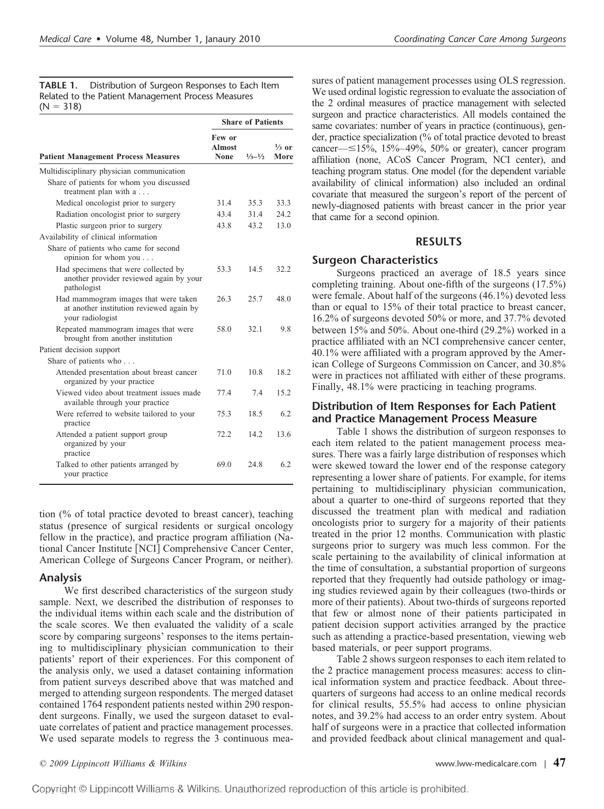**TABLE 1.** Distribution of Surgeon Responses to Each Item Related to the Patient Management Process Measures  $(N = 318)$ 

|                                                                                                      | <b>Share of Patients</b>        |                             |                          |
|------------------------------------------------------------------------------------------------------|---------------------------------|-----------------------------|--------------------------|
| <b>Patient Management Process Measures</b>                                                           | Few or<br><b>Almost</b><br>None | $\frac{1}{3} - \frac{1}{2}$ | $\frac{1}{3}$ or<br>More |
| Multidisciplinary physician communication                                                            |                                 |                             |                          |
| Share of patients for whom you discussed<br>treatment plan with a                                    |                                 |                             |                          |
| Medical oncologist prior to surgery                                                                  | 31.4                            | 35.3                        | 33.3                     |
| Radiation oncologist prior to surgery                                                                | 43.4                            | 31.4                        | 24.2                     |
| Plastic surgeon prior to surgery                                                                     | 43.8                            | 43.2                        | 13.0                     |
| Availability of clinical information                                                                 |                                 |                             |                          |
| Share of patients who came for second<br>opinion for whom you                                        |                                 |                             |                          |
| Had specimens that were collected by<br>another provider reviewed again by your<br>pathologist       | 53.3                            | 14.5                        | 32.2                     |
| Had mammogram images that were taken<br>at another institution reviewed again by<br>your radiologist | 26.3                            | 25.7                        | 48.0                     |
| Repeated mammogram images that were<br>brought from another institution                              | 58.0                            | 32.1                        | 9.8                      |
| Patient decision support                                                                             |                                 |                             |                          |
| Share of patients who                                                                                |                                 |                             |                          |
| Attended presentation about breast cancer<br>organized by your practice                              | 71.0                            | 10.8                        | 18.2                     |
| Viewed video about treatment issues made<br>available through your practice                          | 77.4                            | 7.4                         | 15.2                     |
| Were referred to website tailored to your<br>practice                                                | 75.3                            | 18.5                        | 6.2                      |
| Attended a patient support group<br>organized by your<br>practice                                    | 72.2                            | 142                         | 13.6                     |
| Talked to other patients arranged by<br>your practice                                                | 69.0                            | 24.8                        | 62                       |

tion (% of total practice devoted to breast cancer), teaching status (presence of surgical residents or surgical oncology fellow in the practice), and practice program affiliation (National Cancer Institute [NCI] Comprehensive Cancer Center, American College of Surgeons Cancer Program, or neither).

# **Analysis**

We first described characteristics of the surgeon study sample. Next, we described the distribution of responses to the individual items within each scale and the distribution of the scale scores. We then evaluated the validity of a scale score by comparing surgeons' responses to the items pertaining to multidisciplinary physician communication to their patients' report of their experiences. For this component of the analysis only, we used a dataset containing information from patient surveys described above that was matched and merged to attending surgeon respondents. The merged dataset contained 1764 respondent patients nested within 290 respondent surgeons. Finally, we used the surgeon dataset to evaluate correlates of patient and practice management processes. We used separate models to regress the 3 continuous mea-

sures of patient management processes using OLS regression. We used ordinal logistic regression to evaluate the association of the 2 ordinal measures of practice management with selected surgeon and practice characteristics. All models contained the same covariates: number of years in practice (continuous), gender, practice specialization (% of total practice devoted to breast cancer— $\leq$ 15%, 15%–49%, 50% or greater), cancer program affiliation (none, ACoS Cancer Program, NCI center), and teaching program status. One model (for the dependent variable availability of clinical information) also included an ordinal covariate that measured the surgeon's report of the percent of newly-diagnosed patients with breast cancer in the prior year that came for a second opinion.

# **RESULTS**

# **Surgeon Characteristics**

Surgeons practiced an average of 18.5 years since completing training. About one-fifth of the surgeons (17.5%) were female. About half of the surgeons (46.1%) devoted less than or equal to 15% of their total practice to breast cancer, 16.2% of surgeons devoted 50% or more, and 37.7% devoted between 15% and 50%. About one-third (29.2%) worked in a practice affiliated with an NCI comprehensive cancer center, 40.1% were affiliated with a program approved by the American College of Surgeons Commission on Cancer, and 30.8% were in practices not affiliated with either of these programs. Finally, 48.1% were practicing in teaching programs.

# **Distribution of Item Responses for Each Patient and Practice Management Process Measure**

Table 1 shows the distribution of surgeon responses to each item related to the patient management process measures. There was a fairly large distribution of responses which were skewed toward the lower end of the response category representing a lower share of patients. For example, for items pertaining to multidisciplinary physician communication, about a quarter to one-third of surgeons reported that they discussed the treatment plan with medical and radiation oncologists prior to surgery for a majority of their patients treated in the prior 12 months. Communication with plastic surgeons prior to surgery was much less common. For the scale pertaining to the availability of clinical information at the time of consultation, a substantial proportion of surgeons reported that they frequently had outside pathology or imaging studies reviewed again by their colleagues (two-thirds or more of their patients). About two-thirds of surgeons reported that few or almost none of their patients participated in patient decision support activities arranged by the practice such as attending a practice-based presentation, viewing web based materials, or peer support programs.

Table 2 shows surgeon responses to each item related to the 2 practice management process measures: access to clinical information system and practice feedback. About threequarters of surgeons had access to an online medical records for clinical results, 55.5% had access to online physician notes, and 39.2% had access to an order entry system. About half of surgeons were in a practice that collected information and provided feedback about clinical management and qual-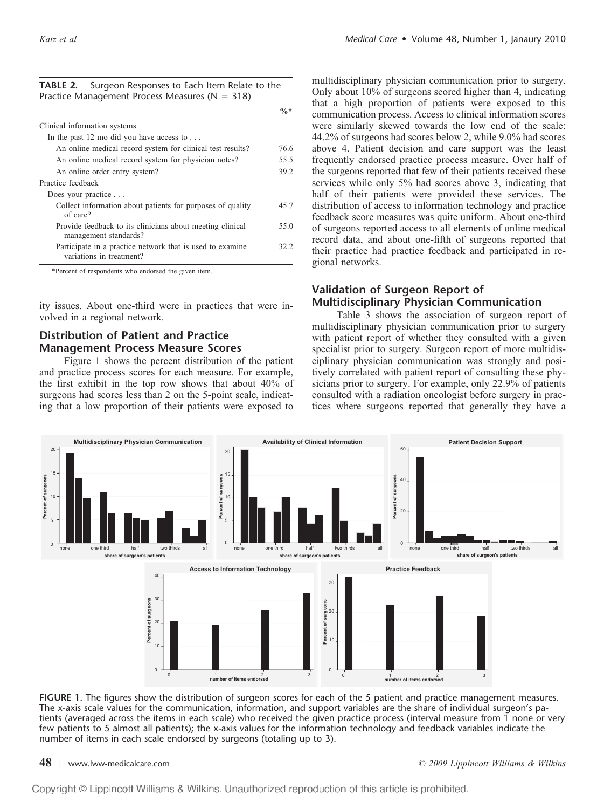| <b>TABLE 2.</b> Surgeon Responses to Each Item Relate to the |  |  |  |  |
|--------------------------------------------------------------|--|--|--|--|
| Practice Management Process Measures ( $N = 318$ )           |  |  |  |  |

|                                                                                       | $\frac{0}{6}$ * |
|---------------------------------------------------------------------------------------|-----------------|
| Clinical information systems                                                          |                 |
| In the past 12 mo did you have access to $\dots$                                      |                 |
| An online medical record system for clinical test results?                            | 76.6            |
| An online medical record system for physician notes?                                  | 55.5            |
| An online order entry system?                                                         | 39.2            |
| Practice feedback                                                                     |                 |
| Does your practice                                                                    |                 |
| Collect information about patients for purposes of quality<br>of care?                | 45.7            |
| Provide feedback to its clinicians about meeting clinical<br>management standards?    | 55.0            |
| Participate in a practice network that is used to examine<br>variations in treatment? | 32.2            |
| *Percent of respondents who endorsed the given item.                                  |                 |

ity issues. About one-third were in practices that were involved in a regional network.

# **Distribution of Patient and Practice Management Process Measure Scores**

Figure 1 shows the percent distribution of the patient and practice process scores for each measure. For example, the first exhibit in the top row shows that about 40% of surgeons had scores less than 2 on the 5-point scale, indicating that a low proportion of their patients were exposed to

multidisciplinary physician communication prior to surgery. Only about 10% of surgeons scored higher than 4, indicating that a high proportion of patients were exposed to this communication process. Access to clinical information scores were similarly skewed towards the low end of the scale: 44.2% of surgeons had scores below 2, while 9.0% had scores above 4. Patient decision and care support was the least frequently endorsed practice process measure. Over half of the surgeons reported that few of their patients received these services while only 5% had scores above 3, indicating that half of their patients were provided these services. The distribution of access to information technology and practice feedback score measures was quite uniform. About one-third of surgeons reported access to all elements of online medical record data, and about one-fifth of surgeons reported that their practice had practice feedback and participated in regional networks.

# **Validation of Surgeon Report of Multidisciplinary Physician Communication**

Table 3 shows the association of surgeon report of multidisciplinary physician communication prior to surgery with patient report of whether they consulted with a given specialist prior to surgery. Surgeon report of more multidisciplinary physician communication was strongly and positively correlated with patient report of consulting these physicians prior to surgery. For example, only 22.9% of patients consulted with a radiation oncologist before surgery in practices where surgeons reported that generally they have a



**FIGURE 1.** The figures show the distribution of surgeon scores for each of the 5 patient and practice management measures. The x-axis scale values for the communication, information, and support variables are the share of individual surgeon's patients (averaged across the items in each scale) who received the given practice process (interval measure from 1 none or very few patients to 5 almost all patients); the x-axis values for the information technology and feedback variables indicate the number of items in each scale endorsed by surgeons (totaling up to 3).

**48** | [www.lww-medicalcare.com](http://www.lww-medicalcare.com) *© 2009 Lippincott Williams & Wilkins*

Copyright © Lippincott Williams & Wilkins. Unauthorized reproduction of this article is prohibited.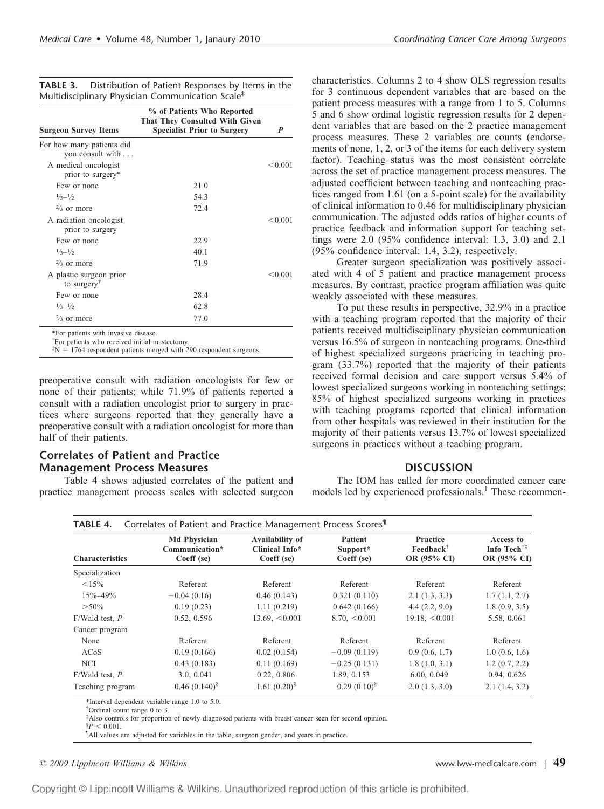| TABLE 3. | Distribution of Patient Responses by Items in the            |
|----------|--------------------------------------------------------------|
|          | Multidisciplinary Physician Communication Scale <sup>#</sup> |

| <b>Surgeon Survey Items</b>                        | % of Patients Who Reported<br>That They Consulted With Given<br><b>Specialist Prior to Surgery</b> | P       |
|----------------------------------------------------|----------------------------------------------------------------------------------------------------|---------|
| For how many patients did<br>you consult with      |                                                                                                    |         |
| A medical oncologist<br>prior to surgery*          |                                                                                                    | < 0.001 |
| Few or none                                        | 21.0                                                                                               |         |
| $1/3 - 1/2$                                        | 54.3                                                                                               |         |
| $\frac{2}{3}$ or more                              | 72.4                                                                                               |         |
| A radiation oncologist<br>prior to surgery         |                                                                                                    | < 0.001 |
| Few or none                                        | 22.9                                                                                               |         |
| $\frac{1}{3} - \frac{1}{2}$                        | 40 1                                                                                               |         |
| $\frac{2}{3}$ or more                              | 71.9                                                                                               |         |
| A plastic surgeon prior<br>to surgery <sup>†</sup> |                                                                                                    | < 0.001 |
| Few or none                                        | 28.4                                                                                               |         |
| $\frac{1}{3} - \frac{1}{2}$                        | 62.8                                                                                               |         |
| $\frac{2}{3}$ or more                              | 77.0                                                                                               |         |

 $N = 1764$  respondent patients merged with 290 respondent surgeons.

preoperative consult with radiation oncologists for few or none of their patients; while 71.9% of patients reported a consult with a radiation oncologist prior to surgery in practices where surgeons reported that they generally have a preoperative consult with a radiation oncologist for more than half of their patients.

# **Correlates of Patient and Practice Management Process Measures**

Table 4 shows adjusted correlates of the patient and practice management process scales with selected surgeon

characteristics. Columns 2 to 4 show OLS regression results for 3 continuous dependent variables that are based on the patient process measures with a range from 1 to 5. Columns 5 and 6 show ordinal logistic regression results for 2 dependent variables that are based on the 2 practice management process measures. These 2 variables are counts (endorsements of none, 1, 2, or 3 of the items for each delivery system factor). Teaching status was the most consistent correlate across the set of practice management process measures. The adjusted coefficient between teaching and nonteaching practices ranged from 1.61 (on a 5-point scale) for the availability of clinical information to 0.46 for multidisciplinary physician communication. The adjusted odds ratios of higher counts of practice feedback and information support for teaching settings were 2.0 (95% confidence interval: 1.3, 3.0) and 2.1 (95% confidence interval: 1.4, 3.2), respectively.

Greater surgeon specialization was positively associated with 4 of 5 patient and practice management process measures. By contrast, practice program affiliation was quite weakly associated with these measures.

To put these results in perspective, 32.9% in a practice with a teaching program reported that the majority of their patients received multidisciplinary physician communication versus 16.5% of surgeon in nonteaching programs. One-third of highest specialized surgeons practicing in teaching program (33.7%) reported that the majority of their patients received formal decision and care support versus 5.4% of lowest specialized surgeons working in nonteaching settings; 85% of highest specialized surgeons working in practices with teaching programs reported that clinical information from other hospitals was reviewed in their institution for the majority of their patients versus 13.7% of lowest specialized surgeons in practices without a teaching program.

# **DISCUSSION**

The IOM has called for more coordinated cancer care models led by experienced professionals.<sup>1</sup> These recommen-

| <b>Characteristics</b> | <b>Md Physician</b><br>Communication*<br>Coeff (se) | Availability of<br>Clinical Info*<br>Coeff (se) | <b>Patient</b><br>Support*<br>Coeff (se) | <b>Practice</b><br>Feedback <sup>†</sup><br>OR (95% CI) | Access to<br>Info Tech <sup>†‡</sup><br>OR (95% CI) |
|------------------------|-----------------------------------------------------|-------------------------------------------------|------------------------------------------|---------------------------------------------------------|-----------------------------------------------------|
| Specialization         |                                                     |                                                 |                                          |                                                         |                                                     |
| <15%                   | Referent                                            | Referent                                        | Referent                                 | Referent                                                | Referent                                            |
| 15%-49%                | $-0.04(0.16)$                                       | 0.46(0.143)                                     | 0.321(0.110)                             | 2.1(1.3, 3.3)                                           | 1.7(1.1, 2.7)                                       |
| $> 50\%$               | 0.19(0.23)                                          | 1.11(0.219)                                     | 0.642(0.166)                             | 4.4(2.2, 9.0)                                           | 1.8(0.9, 3.5)                                       |
| $F/Wald$ test, $P$     | 0.52, 0.596                                         | $13.69, \le 0.001$                              | $8.70, \leq 0.001$                       | $19.18 \le 0.001$                                       | 5.58, 0.061                                         |
| Cancer program         |                                                     |                                                 |                                          |                                                         |                                                     |
| None                   | Referent                                            | Referent                                        | Referent                                 | Referent                                                | Referent                                            |
| ACoS                   | 0.19(0.166)                                         | 0.02(0.154)                                     | $-0.09(0.119)$                           | 0.9(0.6, 1.7)                                           | 1.0(0.6, 1.6)                                       |
| <b>NCI</b>             | 0.43(0.183)                                         | 0.11(0.169)                                     | $-0.25(0.131)$                           | 1.8(1.0, 3.1)                                           | 1.2(0.7, 2.2)                                       |
| $F/Wald$ test, $P$     | 3.0, 0.041                                          | 0.22, 0.806                                     | 1.89, 0.153                              | 6.00, 0.049                                             | 0.94, 0.626                                         |
| Teaching program       | $0.46(0.140)^{8}$                                   | 1.61 $(0.20)$ <sup>§</sup>                      | $0.29(0.10)^8$                           | 2.0(1.3, 3.0)                                           | 2.1(1.4, 3.2)                                       |

\*Interval dependent variable range 1.0 to 5.0.

† Ordinal count range 0 to 3.

‡ Also controls for proportion of newly diagnosed patients with breast cancer seen for second opinion.  $\frac{8}{9}P < 0.001$ 

 ${}^{8}P < 0.001$ .<br> ${}^{9}$ All values are adjusted for variables in the table, surgeon gender, and years in practice.

*© 2009 Lippincott Williams & Wilkins* [www.lww-medicalcare.com](http://www.lww-medicalcare.com) <sup>|</sup> **49**

Copyright © Lippincott Williams & Wilkins. Unauthorized reproduction of this article is prohibited.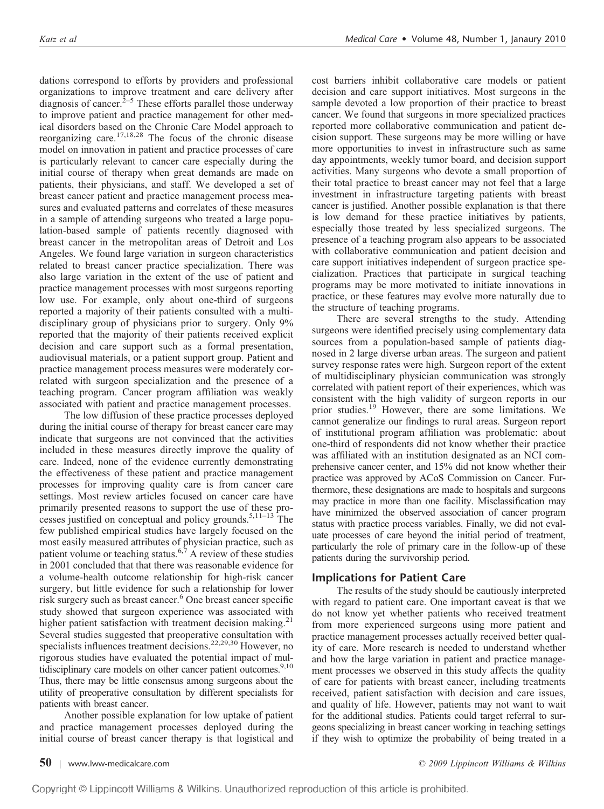dations correspond to efforts by providers and professional organizations to improve treatment and care delivery after diagnosis of cancer. $2^{-5}$  These efforts parallel those underway to improve patient and practice management for other medical disorders based on the Chronic Care Model approach to reorganizing care.17,18,28 The focus of the chronic disease model on innovation in patient and practice processes of care is particularly relevant to cancer care especially during the initial course of therapy when great demands are made on patients, their physicians, and staff. We developed a set of breast cancer patient and practice management process measures and evaluated patterns and correlates of these measures in a sample of attending surgeons who treated a large population-based sample of patients recently diagnosed with breast cancer in the metropolitan areas of Detroit and Los Angeles. We found large variation in surgeon characteristics related to breast cancer practice specialization. There was also large variation in the extent of the use of patient and practice management processes with most surgeons reporting low use. For example, only about one-third of surgeons reported a majority of their patients consulted with a multidisciplinary group of physicians prior to surgery. Only 9% reported that the majority of their patients received explicit decision and care support such as a formal presentation, audiovisual materials, or a patient support group. Patient and practice management process measures were moderately correlated with surgeon specialization and the presence of a teaching program. Cancer program affiliation was weakly associated with patient and practice management processes.

The low diffusion of these practice processes deployed during the initial course of therapy for breast cancer care may indicate that surgeons are not convinced that the activities included in these measures directly improve the quality of care. Indeed, none of the evidence currently demonstrating the effectiveness of these patient and practice management processes for improving quality care is from cancer care settings. Most review articles focused on cancer care have primarily presented reasons to support the use of these processes justified on conceptual and policy grounds.5,11–13 The few published empirical studies have largely focused on the most easily measured attributes of physician practice, such as patient volume or teaching status.<sup>6,7</sup> A review of these studies in 2001 concluded that that there was reasonable evidence for a volume-health outcome relationship for high-risk cancer surgery, but little evidence for such a relationship for lower risk surgery such as breast cancer.<sup>6</sup> One breast cancer specific study showed that surgeon experience was associated with higher patient satisfaction with treatment decision making. $21$ Several studies suggested that preoperative consultation with specialists influences treatment decisions.<sup>22,29,30</sup> However, no rigorous studies have evaluated the potential impact of multidisciplinary care models on other cancer patient outcomes.<sup>9,10</sup> Thus, there may be little consensus among surgeons about the utility of preoperative consultation by different specialists for patients with breast cancer.

Another possible explanation for low uptake of patient and practice management processes deployed during the initial course of breast cancer therapy is that logistical and cost barriers inhibit collaborative care models or patient decision and care support initiatives. Most surgeons in the sample devoted a low proportion of their practice to breast cancer. We found that surgeons in more specialized practices reported more collaborative communication and patient decision support. These surgeons may be more willing or have more opportunities to invest in infrastructure such as same day appointments, weekly tumor board, and decision support activities. Many surgeons who devote a small proportion of their total practice to breast cancer may not feel that a large investment in infrastructure targeting patients with breast cancer is justified. Another possible explanation is that there is low demand for these practice initiatives by patients, especially those treated by less specialized surgeons. The presence of a teaching program also appears to be associated with collaborative communication and patient decision and care support initiatives independent of surgeon practice specialization. Practices that participate in surgical teaching programs may be more motivated to initiate innovations in practice, or these features may evolve more naturally due to the structure of teaching programs.

There are several strengths to the study. Attending surgeons were identified precisely using complementary data sources from a population-based sample of patients diagnosed in 2 large diverse urban areas. The surgeon and patient survey response rates were high. Surgeon report of the extent of multidisciplinary physician communication was strongly correlated with patient report of their experiences, which was consistent with the high validity of surgeon reports in our prior studies.19 However, there are some limitations. We cannot generalize our findings to rural areas. Surgeon report of institutional program affiliation was problematic: about one-third of respondents did not know whether their practice was affiliated with an institution designated as an NCI comprehensive cancer center, and 15% did not know whether their practice was approved by ACoS Commission on Cancer. Furthermore, these designations are made to hospitals and surgeons may practice in more than one facility. Misclassification may have minimized the observed association of cancer program status with practice process variables. Finally, we did not evaluate processes of care beyond the initial period of treatment, particularly the role of primary care in the follow-up of these patients during the survivorship period.

# **Implications for Patient Care**

The results of the study should be cautiously interpreted with regard to patient care. One important caveat is that we do not know yet whether patients who received treatment from more experienced surgeons using more patient and practice management processes actually received better quality of care. More research is needed to understand whether and how the large variation in patient and practice management processes we observed in this study affects the quality of care for patients with breast cancer, including treatments received, patient satisfaction with decision and care issues, and quality of life. However, patients may not want to wait for the additional studies. Patients could target referral to surgeons specializing in breast cancer working in teaching settings if they wish to optimize the probability of being treated in a